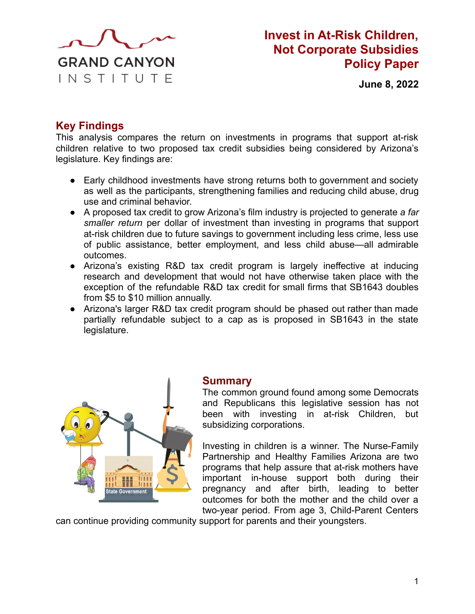

# **Invest in At-Risk Children, Not Corporate Subsidies Policy Paper**

**June 8, 2022**

# **Key Findings**

This analysis compares the return on investments in programs that support at-risk children relative to two proposed tax credit subsidies being considered by Arizona's legislature. Key findings are:

- Early childhood investments have strong returns both to government and society as well as the participants, strengthening families and reducing child abuse, drug use and criminal behavior.
- A proposed tax credit to grow Arizona's film industry is projected to generate *a far smaller return* per dollar of investment than investing in programs that support at-risk children due to future savings to government including less crime, less use of public assistance, better employment, and less child abuse—all admirable outcomes.
- Arizona's existing R&D tax credit program is largely ineffective at inducing research and development that would not have otherwise taken place with the exception of the refundable R&D tax credit for small firms that SB1643 doubles from \$5 to \$10 million annually.
- Arizona's larger R&D tax credit program should be phased out rather than made partially refundable subject to a cap as is proposed in SB1643 in the state legislature.



### **Summary**

The common ground found among some Democrats and Republicans this legislative session has not been with investing in at-risk Children, but subsidizing corporations.

Investing in children is a winner. The Nurse-Family Partnership and Healthy Families Arizona are two programs that help assure that at-risk mothers have important in-house support both during their pregnancy and after birth, leading to better outcomes for both the mother and the child over a two-year period. From age 3, Child-Parent Centers

can continue providing community support for parents and their youngsters.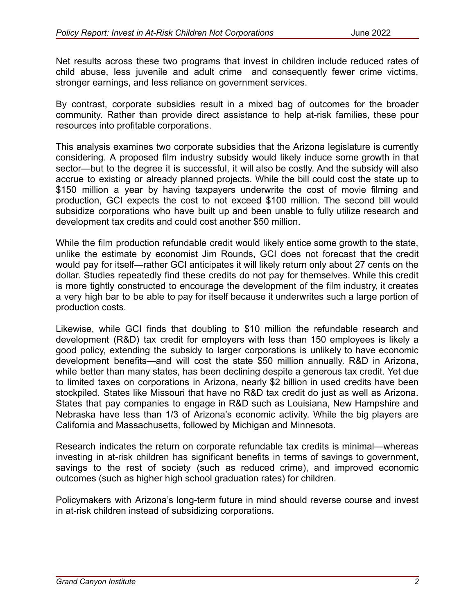Net results across these two programs that invest in children include reduced rates of child abuse, less juvenile and adult crime and consequently fewer crime victims, stronger earnings, and less reliance on government services.

By contrast, corporate subsidies result in a mixed bag of outcomes for the broader community. Rather than provide direct assistance to help at-risk families, these pour resources into profitable corporations.

This analysis examines two corporate subsidies that the Arizona legislature is currently considering. A proposed film industry subsidy would likely induce some growth in that sector—but to the degree it is successful, it will also be costly. And the subsidy will also accrue to existing or already planned projects. While the bill could cost the state up to \$150 million a year by having taxpayers underwrite the cost of movie filming and production, GCI expects the cost to not exceed \$100 million. The second bill would subsidize corporations who have built up and been unable to fully utilize research and development tax credits and could cost another \$50 million.

While the film production refundable credit would likely entice some growth to the state, unlike the estimate by economist Jim Rounds, GCI does not forecast that the credit would pay for itself—rather GCI anticipates it will likely return only about 27 cents on the dollar. Studies repeatedly find these credits do not pay for themselves. While this credit is more tightly constructed to encourage the development of the film industry, it creates a very high bar to be able to pay for itself because it underwrites such a large portion of production costs.

Likewise, while GCI finds that doubling to \$10 million the refundable research and development (R&D) tax credit for employers with less than 150 employees is likely a good policy, extending the subsidy to larger corporations is unlikely to have economic development benefits—and will cost the state \$50 million annually. R&D in Arizona, while better than many states, has been declining despite a generous tax credit. Yet due to limited taxes on corporations in Arizona, nearly \$2 billion in used credits have been stockpiled. States like Missouri that have no R&D tax credit do just as well as Arizona. States that pay companies to engage in R&D such as Louisiana, New Hampshire and Nebraska have less than 1/3 of Arizona's economic activity. While the big players are California and Massachusetts, followed by Michigan and Minnesota.

Research indicates the return on corporate refundable tax credits is minimal—whereas investing in at-risk children has significant benefits in terms of savings to government, savings to the rest of society (such as reduced crime), and improved economic outcomes (such as higher high school graduation rates) for children.

Policymakers with Arizona's long-term future in mind should reverse course and invest in at-risk children instead of subsidizing corporations.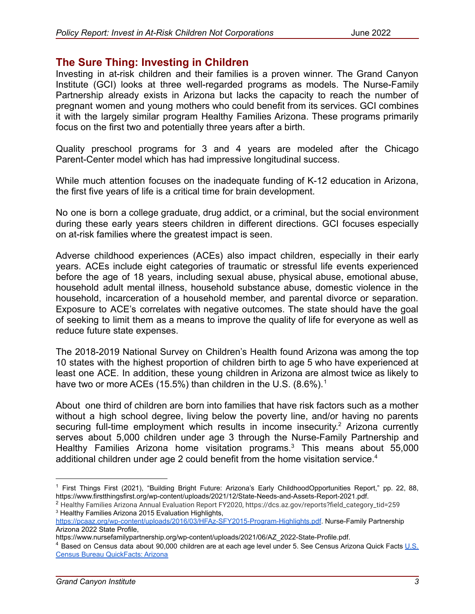## **The Sure Thing: Investing in Children**

Investing in at-risk children and their families is a proven winner. The Grand Canyon Institute (GCI) looks at three well-regarded programs as models. The Nurse-Family Partnership already exists in Arizona but lacks the capacity to reach the number of pregnant women and young mothers who could benefit from its services. GCI combines it with the largely similar program Healthy Families Arizona. These programs primarily focus on the first two and potentially three years after a birth.

Quality preschool programs for 3 and 4 years are modeled after the Chicago Parent-Center model which has had impressive longitudinal success.

While much attention focuses on the inadequate funding of K-12 education in Arizona, the first five years of life is a critical time for brain development.

No one is born a college graduate, drug addict, or a criminal, but the social environment during these early years steers children in different directions. GCI focuses especially on at-risk families where the greatest impact is seen.

Adverse childhood experiences (ACEs) also impact children, especially in their early years. ACEs include eight categories of traumatic or stressful life events experienced before the age of 18 years, including sexual abuse, physical abuse, emotional abuse, household adult mental illness, household substance abuse, domestic violence in the household, incarceration of a household member, and parental divorce or separation. Exposure to ACE's correlates with negative outcomes. The state should have the goal of seeking to limit them as a means to improve the quality of life for everyone as well as reduce future state expenses.

The 2018-2019 National Survey on Children's Health found Arizona was among the top 10 states with the highest proportion of children birth to age 5 who have experienced at least one ACE. In addition, these young children in Arizona are almost twice as likely to have two or more ACEs (15.5%) than children in the U.S.  $(8.6\%)$ .<sup>1</sup>

About one third of children are born into families that have risk factors such as a mother without a high school degree, living below the poverty line, and/or having no parents securing full-time employment which results in income insecurity.<sup>2</sup> Arizona currently serves about 5,000 children under age 3 through the Nurse-Family Partnership and Healthy Families Arizona home visitation programs.<sup>3</sup> This means about 55,000 additional children under age 2 could benefit from the home visitation service.<sup>4</sup>

<sup>&</sup>lt;sup>1</sup> First Things First (2021), "Building Bright Future: Arizona's Early ChildhoodOpportunities Report," pp. 22, 88, https://www.firstthingsfirst.org/wp-content/uploads/2021/12/State-Needs-and-Assets-Report-2021.pdf.

<sup>3</sup> Healthy Families Arizona 2015 Evaluation Highlights, <sup>2</sup> Healthy Families Arizona Annual Evaluation Report FY2020, https://dcs.az.gov/reports?field\_category\_tid=259

<https://pcaaz.org/wp-content/uploads/2016/03/HFAz-SFY2015-Program-Highlights.pdf>. Nurse-Family Partnership Arizona 2022 State Profile,

https://www.nursefamilypartnership.org/wp-content/uploads/2021/06/AZ\_2022-State-Profile.pdf.

<sup>&</sup>lt;sup>4</sup> Based on Census data about 90,000 children are at each age level under 5. See Census Arizona Quick Facts [U.S.](https://www.census.gov/quickfacts/AZ) [Census Bureau QuickFacts: Arizona](https://www.census.gov/quickfacts/AZ)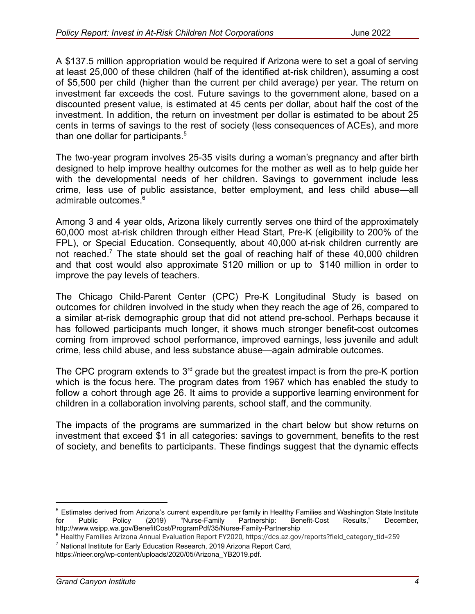A \$137.5 million appropriation would be required if Arizona were to set a goal of serving at least 25,000 of these children (half of the identified at-risk children), assuming a cost of \$5,500 per child (higher than the current per child average) per year. The return on investment far exceeds the cost. Future savings to the government alone, based on a discounted present value, is estimated at 45 cents per dollar, about half the cost of the investment. In addition, the return on investment per dollar is estimated to be about 25 cents in terms of savings to the rest of society (less consequences of ACEs), and more than one dollar for participants.<sup>5</sup>

The two-year program involves 25-35 visits during a woman's pregnancy and after birth designed to help improve healthy outcomes for the mother as well as to help guide her with the developmental needs of her children. Savings to government include less crime, less use of public assistance, better employment, and less child abuse—all admirable outcomes.<sup>6</sup>

Among 3 and 4 year olds, Arizona likely currently serves one third of the approximately 60,000 most at-risk children through either Head Start, Pre-K (eligibility to 200% of the FPL), or Special Education. Consequently, about 40,000 at-risk children currently are not reached.<sup>7</sup> The state should set the goal of reaching half of these 40,000 children and that cost would also approximate \$120 million or up to \$140 million in order to improve the pay levels of teachers.

The Chicago Child-Parent Center (CPC) Pre-K Longitudinal Study is based on outcomes for children involved in the study when they reach the age of 26, compared to a similar at-risk demographic group that did not attend pre-school. Perhaps because it has followed participants much longer, it shows much stronger benefit-cost outcomes coming from improved school performance, improved earnings, less juvenile and adult crime, less child abuse, and less substance abuse—again admirable outcomes.

The CPC program extends to  $3<sup>rd</sup>$  grade but the greatest impact is from the pre-K portion which is the focus here. The program dates from 1967 which has enabled the study to follow a cohort through age 26. It aims to provide a supportive learning environment for children in a collaboration involving parents, school staff, and the community.

The impacts of the programs are summarized in the chart below but show returns on investment that exceed \$1 in all categories: savings to government, benefits to the rest of society, and benefits to participants. These findings suggest that the dynamic effects

https://nieer.org/wp-content/uploads/2020/05/Arizona\_YB2019.pdf.

<sup>&</sup>lt;sup>5</sup> Estimates derived from Arizona's current expenditure per family in Healthy Families and Washington State Institute for  $\overline{a}$  Pecember,  $\overline{b}$  or  $\overline{c}$  Public Policy (2019) "Nurse-Family Partnership: Benefit-Co for Public Policy (2019) "Nurse-Family Partnership: Benefit-Cost Results," December, http://www.wsipp.wa.gov/BenefitCost/ProgramPdf/35/Nurse-Family-Partnership

<sup>7</sup> National Institute for Early Education Research, 2019 Arizona Report Card, <sup>6</sup> Healthy Families Arizona Annual Evaluation Report FY2020, https://dcs.az.gov/reports?field\_category\_tid=259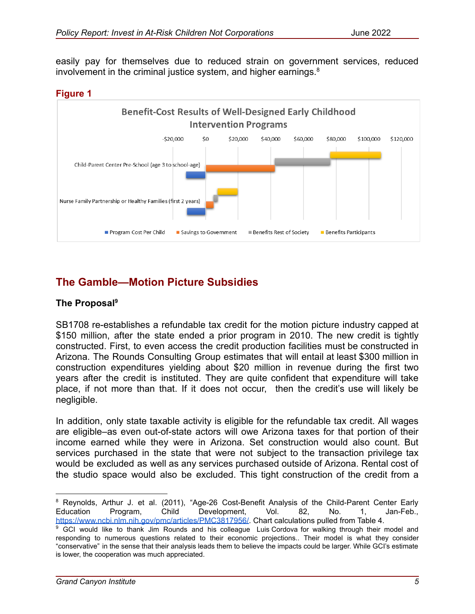easily pay for themselves due to reduced strain on government services, reduced involvement in the criminal justice system, and higher earnings.<sup>8</sup>





# **The Gamble—Motion Picture Subsidies**

### **The Proposal<sup>9</sup>**

SB1708 re-establishes a refundable tax credit for the motion picture industry capped at \$150 million, after the state ended a prior program in 2010. The new credit is tightly constructed. First, to even access the credit production facilities must be constructed in Arizona. The Rounds Consulting Group estimates that will entail at least \$300 million in construction expenditures yielding about \$20 million in revenue during the first two years after the credit is instituted. They are quite confident that expenditure will take place, if not more than that. If it does not occur, then the credit's use will likely be negligible.

In addition, only state taxable activity is eligible for the refundable tax credit. All wages are eligible–as even out-of-state actors will owe Arizona taxes for that portion of their income earned while they were in Arizona. Set construction would also count. But services purchased in the state that were not subject to the transaction privilege tax would be excluded as well as any services purchased outside of Arizona. Rental cost of the studio space would also be excluded. This tight construction of the credit from a

<sup>&</sup>lt;sup>8</sup> Reynolds, Arthur J. et al. (2011), "Age-26 Cost-Benefit Analysis of the Child-Parent Center Early Education Program, Child Development, Vol. 82, No. 1, Jan-Feb., [https://www.ncbi.nlm.nih.gov/pmc/articles/PMC3817956/.](https://www.ncbi.nlm.nih.gov/pmc/articles/PMC3817956/) Chart calculations pulled from Table 4.

<sup>&</sup>lt;sup>9</sup> GCI would like to thank Jim Rounds and his colleague [Luis Cordova](mailto:cordova@roundsconsulting.com) for walking through their model and responding to numerous questions related to their economic projections.. Their model is what they consider "conservative" in the sense that their analysis leads them to believe the impacts could be larger. While GCI's estimate is lower, the cooperation was much appreciated.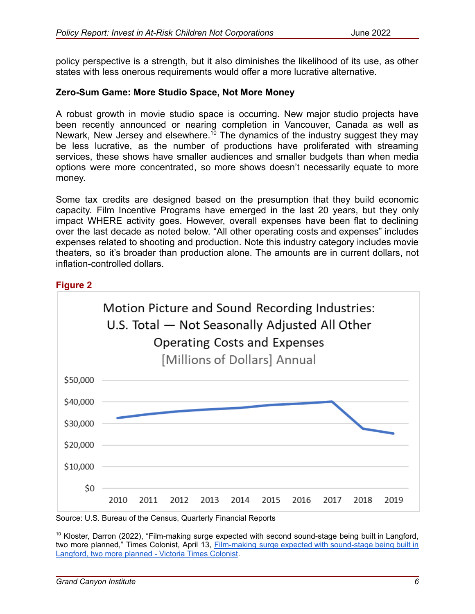policy perspective is a strength, but it also diminishes the likelihood of its use, as other states with less onerous requirements would offer a more lucrative alternative.

#### **Zero-Sum Game: More Studio Space, Not More Money**

A robust growth in movie studio space is occurring. New major studio projects have been recently announced or nearing completion in Vancouver, Canada as well as Newark, New Jersey and elsewhere.<sup>10</sup> The dynamics of the industry suggest they may be less lucrative, as the number of productions have proliferated with streaming services, these shows have smaller audiences and smaller budgets than when media options were more concentrated, so more shows doesn't necessarily equate to more money.

Some tax credits are designed based on the presumption that they build economic capacity. Film Incentive Programs have emerged in the last 20 years, but they only impact WHERE activity goes. However, overall expenses have been flat to declining over the last decade as noted below. "All other operating costs and expenses" includes expenses related to shooting and production. Note this industry category includes movie theaters, so it's broader than production alone. The amounts are in current dollars, not inflation-controlled dollars.





<sup>&</sup>lt;sup>10</sup> Kloster, Darron (2022), "Film-making surge expected with second sound-stage being built in Langford, two more planned," Times Colonist, April 13, Film-making surge expected with [sound-stage](https://www.timescolonist.com/local-news/film-making-surge-expected-with-sound-stage-being-built-in-langford-two-more-planned-5260685) being built in [Langford,](https://www.timescolonist.com/local-news/film-making-surge-expected-with-sound-stage-being-built-in-langford-two-more-planned-5260685) two more planned - Victoria Times Colonist.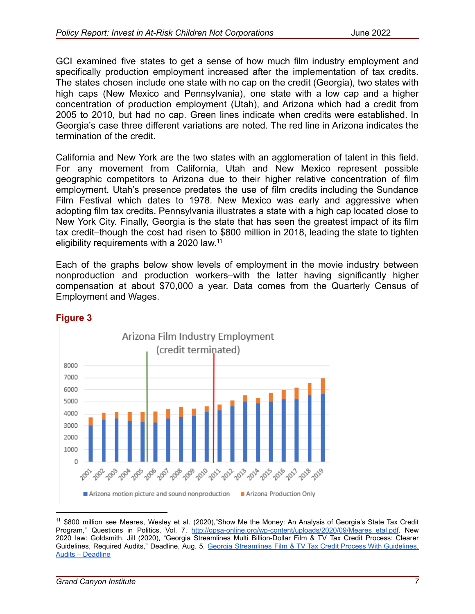GCI examined five states to get a sense of how much film industry employment and specifically production employment increased after the implementation of tax credits. The states chosen include one state with no cap on the credit (Georgia), two states with high caps (New Mexico and Pennsylvania), one state with a low cap and a higher concentration of production employment (Utah), and Arizona which had a credit from 2005 to 2010, but had no cap. Green lines indicate when credits were established. In Georgia's case three different variations are noted. The red line in Arizona indicates the termination of the credit.

California and New York are the two states with an agglomeration of talent in this field. For any movement from California, Utah and New Mexico represent possible geographic competitors to Arizona due to their higher relative concentration of film employment. Utah's presence predates the use of film credits including the Sundance Film Festival which dates to 1978. New Mexico was early and aggressive when adopting film tax credits. Pennsylvania illustrates a state with a high cap located close to New York City. Finally, Georgia is the state that has seen the greatest impact of its film tax credit–though the cost had risen to \$800 million in 2018, leading the state to tighten eligibility requirements with a 2020 law.<sup>11</sup>

Each of the graphs below show levels of employment in the movie industry between nonproduction and production workers–with the latter having significantly higher compensation at about \$70,000 a year. Data comes from the Quarterly Census of Employment and Wages.



## **Figure 3**

<sup>&</sup>lt;sup>11</sup> \$800 million see Meares, Wesley et al. (2020),"Show Me the Money: An Analysis of Georgia's State Tax Credit Program," Questions in Politics, Vol. 7, [http://gpsa-online.org/wp-content/uploads/2020/09/Meares\\_etal.pdf.](http://gpsa-online.org/wp-content/uploads/2020/09/Meares_etal.pdf) New 2020 law: Goldsmith, Jill (2020), "Georgia Streamlines Multi Billion-Dollar Film & TV Tax Credit Process: Clearer Guidelines, Required Audits," Deadline, Aug. 5, Georgia [Streamlines](https://deadline.com/2020/08/georgia-production-tax-credit-law-changes-audits-1203005500/) Film & TV Tax Credit Process With Guidelines. [Audits – Deadline](https://deadline.com/2020/08/georgia-production-tax-credit-law-changes-audits-1203005500/)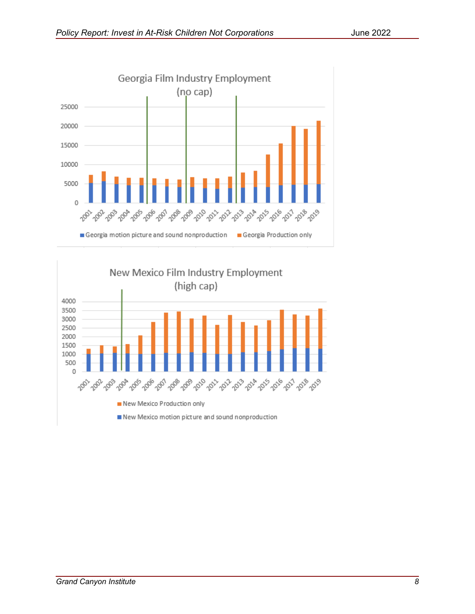

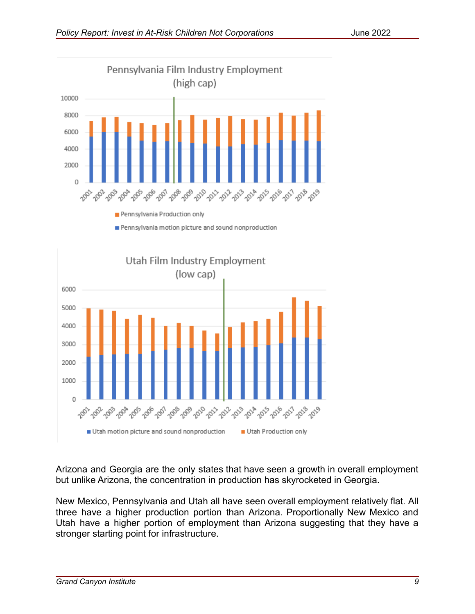

Pennsylvania motion picture and sound nonproduction



Arizona and Georgia are the only states that have seen a growth in overall employment but unlike Arizona, the concentration in production has skyrocketed in Georgia.

New Mexico, Pennsylvania and Utah all have seen overall employment relatively flat. All three have a higher production portion than Arizona. Proportionally New Mexico and Utah have a higher portion of employment than Arizona suggesting that they have a stronger starting point for infrastructure.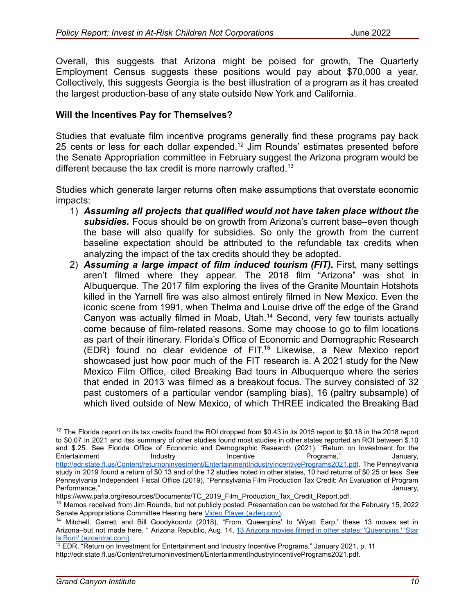Overall, this suggests that Arizona might be poised for growth, The Quarterly Employment Census suggests these positions would pay about \$70,000 a year. Collectively, this suggests Georgia is the best illustration of a program as it has created the largest production-base of any state outside New York and California.

### **Will the Incentives Pay for Themselves?**

Studies that evaluate film incentive programs generally find these programs pay back 25 cents or less for each dollar expended.<sup>12</sup> Jim Rounds' estimates presented before the Senate Appropriation committee in February suggest the Arizona program would be different because the tax credit is more narrowly crafted.<sup>13</sup>

Studies which generate larger returns often make assumptions that overstate economic impacts:

- 1) *Assuming all projects that qualified would not have taken place without the subsidies.* Focus should be on growth from Arizona's current base–even though the base will also qualify for subsidies. So only the growth from the current baseline expectation should be attributed to the refundable tax credits when analyzing the impact of the tax credits should they be adopted.
- 2) *Assuming a large impact of film induced tourism (FIT).* First, many settings aren't filmed where they appear. The 2018 film "Arizona" was shot in Albuquerque. The 2017 film exploring the lives of the Granite Mountain Hotshots killed in the Yarnell fire was also almost entirely filmed in New Mexico. Even the iconic scene from 1991, when Thelma and Louise drive off the edge of the Grand Canyon was actually filmed in Moab, Utah.<sup>14</sup> Second, very few tourists actually come because of film-related reasons. Some may choose to go to film locations as part of their itinerary. Florida's Office of Economic and Demographic Research (EDR) found no clear evidence of FIT. **<sup>15</sup>** Likewise, a New Mexico report showcased just how poor much of the FIT research is. A 2021 study for the New Mexico Film Office, cited Breaking Bad tours in Albuquerque where the series that ended in 2013 was filmed as a breakout focus. The survey consisted of 32 past customers of a particular vendor (sampling bias), 16 (paltry subsample) of which lived outside of New Mexico, of which THREE indicated the Breaking Bad

<sup>&</sup>lt;sup>12</sup> The Florida report on its tax credits found the ROI dropped from \$0.43 in its 2015 report to \$0.18 in the 2018 report to \$0.07 in 2021 and itss summary of other studies found most studies in other states reported an ROI between \$.10 and \$.25. See Florida Office of Economic and Demographic Research (2021), "Return on Investment for the Entertainment **Industry** Incentive Programs," January, <http://edr.state.fl.us/Content/returnoninvestment/EntertainmentIndustryIncentivePrograms2021.pdf>. The Pennsylvania study in 2019 found a return of \$0.13 and of the 12 studies noted in other states, 10 had returns of \$0.25 or less. See Pennsylvania Independent Fiscal Office (2019), "Pennsylvania Film Production Tax Credit: An Evaluation of Program Performance," and a state of the state of the state of the state of the state of the state of the state of the state of the state of the state of the state of the state of the state of the state of the state of the state o

https://www.pafia.org/resources/Documents/TC\_2019\_Film\_Production\_Tax\_Credit\_Report.pdf.

<sup>&</sup>lt;sup>13</sup> Memos received from Jim Rounds, but not publicly posted. Presentation can be watched for the February 15, 2022 Senate Appropriations Committee Hearing here Video [Player \(azleg.gov\).](https://www.azleg.gov/videoplayer/?eventID=2022021071&startStreamAt=3514)

<sup>&</sup>lt;sup>14</sup> Mitchell, Garrett and Bill Goodykoontz (2018), "From 'Queenpins' to 'Wyatt Earp,' these 13 moves set in Arizona–but not made here, " Arizona Republic, Aug. 14, 13 Arizona movies filmed in other states: ['Queenpins,'](https://www.azcentral.com/story/travel/arizona/2018/08/14/arizona-movies-not-filmed-here/900304002/) 'Star [Is Born' \(azcentral.com\).](https://www.azcentral.com/story/travel/arizona/2018/08/14/arizona-movies-not-filmed-here/900304002/)

<sup>&</sup>lt;sup>15</sup> EDR, "Return on Investment for Entertainment and Industry Incentive Programs," January 2021, p. 11

http://edr.state.fl.us/Content/returnoninvestment/EntertainmentIndustryIncentivePrograms2021.pdf.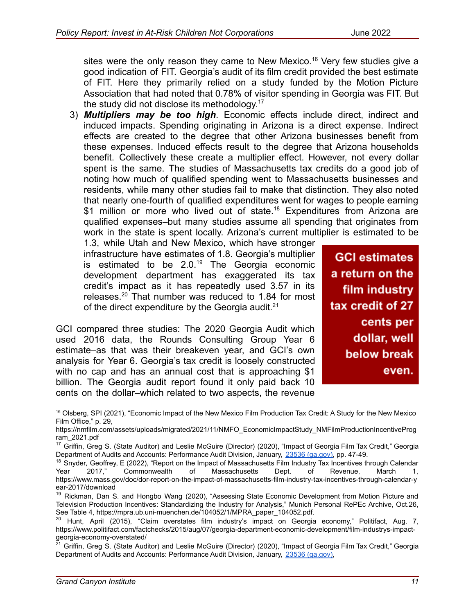sites were the only reason they came to New Mexico.<sup>16</sup> Very few studies give a good indication of FIT. Georgia's audit of its film credit provided the best estimate of FIT. Here they primarily relied on a study funded by the Motion Picture Association that had noted that 0.78% of visitor spending in Georgia was FIT. But the study did not disclose its methodology.<sup>17</sup>

3) *Multipliers may be too high*. Economic effects include direct, indirect and induced impacts. Spending originating in Arizona is a direct expense. Indirect effects are created to the degree that other Arizona businesses benefit from these expenses. Induced effects result to the degree that Arizona households benefit. Collectively these create a multiplier effect. However, not every dollar spent is the same. The studies of Massachusetts tax credits do a good job of noting how much of qualified spending went to Massachusetts businesses and residents, while many other studies fail to make that distinction. They also noted that nearly one-fourth of qualified expenditures went for wages to people earning \$1 million or more who lived out of state.<sup>18</sup> Expenditures from Arizona are qualified expenses–but many studies assume all spending that originates from work in the state is spent locally. Arizona's current multiplier is estimated to be

1.3, while Utah and New Mexico, which have stronger infrastructure have estimates of 1.8. Georgia's multiplier is estimated to be  $2.0^{19}$  The Georgia economic development department has exaggerated its tax credit's impact as it has repeatedly used 3.57 in its releases.<sup>20</sup> That number was reduced to 1.84 for most of the direct expenditure by the Georgia audit. $21$ 

GCI compared three studies: The 2020 Georgia Audit which used 2016 data, the Rounds Consulting Group Year 6 estimate–as that was their breakeven year, and GCI's own analysis for Year 6. Georgia's tax credit is loosely constructed with no cap and has an annual cost that is approaching \$1 billion. The Georgia audit report found it only paid back 10 cents on the dollar–which related to two aspects, the revenue

**GCI estimates** a return on the film industry tax credit of 27 cents per dollar, well below break even.

<sup>&</sup>lt;sup>16</sup> Olsberg, SPI (2021), "Economic Impact of the New Mexico Film Production Tax Credit: A Study for the New Mexico Film Office," p. 29,

https://nmfilm.com/assets/uploads/migrated/2021/11/NMFO\_EconomicImpactStudy\_NMFilmProductionIncentiveProg ram\_2021.pdf

<sup>&</sup>lt;sup>17</sup> Griffin, Greg S. (State Auditor) and Leslie McGuire (Director) (2020), "Impact of Georgia Film Tax Credit," Georgia Department of Audits and Accounts: Performance Audit Division, January, [23536 \(ga.gov\)](https://www.audits.ga.gov/ReportSearch/download/23536), pp. 47-49.

 $18$  Snyder, Geoffrey, E (2022), "Report on the Impact of Massachusetts Film Industry Tax Incentives through Calendar Year 2017," Commonwealth of Massachusetts Dept. of Revenue, March 1, https://www.mass.gov/doc/dor-report-on-the-impact-of-massachusetts-film-industry-tax-incentives-through-calendar-y ear-2017/download

<sup>&</sup>lt;sup>19</sup> Rickman, Dan S. and Hongbo Wang (2020), "Assessing State Economic Development from Motion Picture and Television Production Incentives: Standardizing the Industry for Analysis," Munich Personal RePEc Archive, Oct.26, See Table 4, https://mpra.ub.uni-muenchen.de/104052/1/MPRA\_paper\_104052.pdf.

<sup>&</sup>lt;sup>20</sup> Hunt, April (2015), "Claim overstates film industry's impact on Georgia economy," Politifact, Aug. 7, https://www.politifact.com/factchecks/2015/aug/07/georgia-department-economic-development/film-industrys-impactgeorgia-economy-overstated/

<sup>&</sup>lt;sup>21</sup> Griffin, Greg S. (State Auditor) and Leslie McGuire (Director) (2020), "Impact of Georgia Film Tax Credit," Georgia Department of Audits and Accounts: Performance Audit Division, January, [23536 \(ga.gov\)](https://www.audits.ga.gov/ReportSearch/download/23536),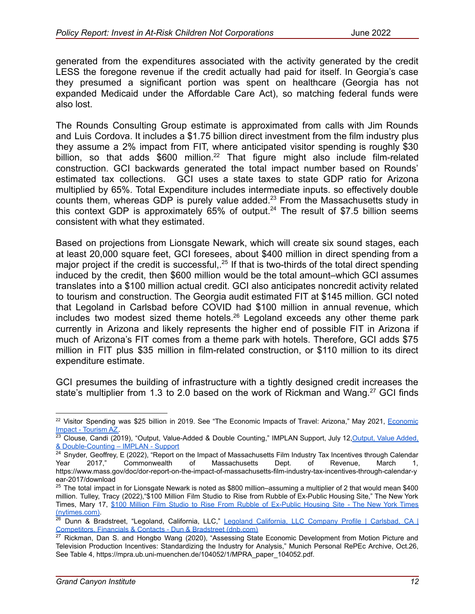generated from the expenditures associated with the activity generated by the credit LESS the foregone revenue if the credit actually had paid for itself. In Georgia's case they presumed a significant portion was spent on healthcare (Georgia has not expanded Medicaid under the Affordable Care Act), so matching federal funds were also lost.

The Rounds Consulting Group estimate is approximated from calls with Jim Rounds and Luis Cordova. It includes a \$1.75 billion direct investment from the film industry plus they assume a 2% impact from FIT, where anticipated visitor spending is roughly \$30 billion, so that adds  $$600$  million.<sup>22</sup> That figure might also include film-related construction. GCI backwards generated the total impact number based on Rounds' estimated tax collections. GCI uses a state taxes to state GDP ratio for Arizona multiplied by 65%. Total Expenditure includes intermediate inputs. so effectively double counts them, whereas GDP is purely value added.<sup>23</sup> From the Massachusetts study in this context GDP is approximately  $65%$  of output.<sup>24</sup> The result of \$7.5 billion seems consistent with what they estimated.

Based on projections from Lionsgate Newark, which will create six sound stages, each at least 20,000 square feet, GCI foresees, about \$400 million in direct spending from a major project if the credit is successful,  $25$  If that is two-thirds of the total direct spending induced by the credit, then \$600 million would be the total amount–which GCI assumes translates into a \$100 million actual credit. GCI also anticipates noncredit activity related to tourism and construction. The Georgia audit estimated FIT at \$145 million. GCI noted that Legoland in Carlsbad before COVID had \$100 million in annual revenue, which includes two modest sized theme hotels.<sup>26</sup> Legoland exceeds any other theme park currently in Arizona and likely represents the higher end of possible FIT in Arizona if much of Arizona's FIT comes from a theme park with hotels. Therefore, GCI adds \$75 million in FIT plus \$35 million in film-related construction, or \$110 million to its direct expenditure estimate.

GCI presumes the building of infrastructure with a tightly designed credit increases the state's multiplier from 1.3 to 2.0 based on the work of Rickman and Wang.<sup>27</sup> GCI finds

<sup>&</sup>lt;sup>22</sup> Visitor Spending was \$25 billion in 2019. See "The [Economic](https://tourism.az.gov/economic-impact/) Impacts of Travel: Arizona," May 2021, Economic [Impact - Tourism AZ.](https://tourism.az.gov/economic-impact/)

<sup>&</sup>lt;sup>23</sup> Clouse, Candi (2019), "Output, Value-Added & Double Counting," IMPLAN Support, July 12, Output, Value Added, [& Double-Counting – IMPLAN - Support](https://support.implan.com/hc/en-us/articles/360025171053-Output-Value-Added-Double-Counting)

<sup>&</sup>lt;sup>24</sup> Snyder, Geoffrey, E (2022), "Report on the Impact of Massachusetts Film Industry Tax Incentives through Calendar Year 2017," Commonwealth of Massachusetts Dept. of Revenue, March 1, https://www.mass.gov/doc/dor-report-on-the-impact-of-massachusetts-film-industry-tax-incentives-through-calendar-y ear-2017/download

 $25$  The total impact in for Lionsgate Newark is noted as \$800 million–assuming a multiplier of 2 that would mean \$400 million. Tulley, Tracy (2022),"\$100 Million Film Studio to Rise from Rubble of Ex-Public Housing Site," The New York Times, Mary 17, \$100 Million Film Studio to Rise From Rubble of [Ex-Public](https://www.nytimes.com/2022/05/17/nyregion/lionsgate-newark-movie-studio.html) Housing Site - The New York Times [\(nytimes.com\).](https://www.nytimes.com/2022/05/17/nyregion/lionsgate-newark-movie-studio.html)

<sup>&</sup>lt;sup>26</sup> Dunn & Bradstreet, "Legoland, [California,](https://www.dnb.com/business-directory/company-profiles.legoland_california_llc.91fe22f27e2ba82268a30dec4e19bb8d.html) LLC," Legoland California, LLC Company Profile | Carlsbad, CA | [Competitors, Financials & Contacts - Dun & Bradstreet \(dnb.com\)](https://www.dnb.com/business-directory/company-profiles.legoland_california_llc.91fe22f27e2ba82268a30dec4e19bb8d.html)

<sup>&</sup>lt;sup>27</sup> Rickman, Dan S. and Hongbo Wang (2020), "Assessing State Economic Development from Motion Picture and Television Production Incentives: Standardizing the Industry for Analysis," Munich Personal RePEc Archive, Oct.26, See Table 4, https://mpra.ub.uni-muenchen.de/104052/1/MPRA\_paper\_104052.pdf.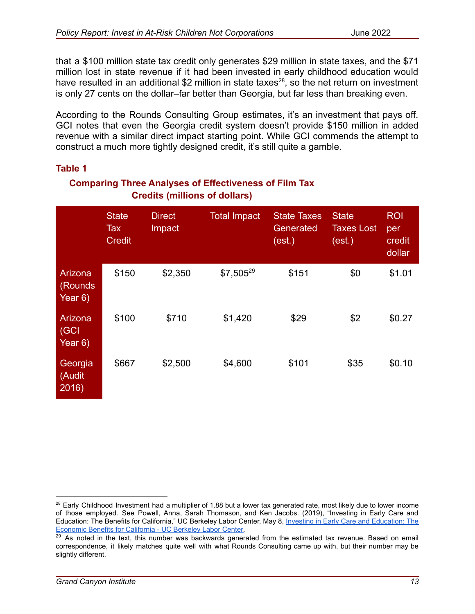that a \$100 million state tax credit only generates \$29 million in state taxes, and the \$71 million lost in state revenue if it had been invested in early childhood education would have resulted in an additional \$2 million in state taxes<sup>28</sup>, so the net return on investment is only 27 cents on the dollar–far better than Georgia, but far less than breaking even.

According to the Rounds Consulting Group estimates, it's an investment that pays off. GCI notes that even the Georgia credit system doesn't provide \$150 million in added revenue with a similar direct impact starting point. While GCI commends the attempt to construct a much more tightly designed credit, it's still quite a gamble.

#### **Table 1**

## **Comparing Three Analyses of Effectiveness of Film Tax Credits (millions of dollars)**

|                                       | <b>State</b><br>Tax<br><b>Credit</b> | <b>Direct</b><br>Impact | <b>Total Impact</b> | <b>State Taxes</b><br>Generated<br>(est.) | <b>State</b><br><b>Taxes Lost</b><br>(est.) | <b>ROI</b><br>per<br>credit<br>dollar |
|---------------------------------------|--------------------------------------|-------------------------|---------------------|-------------------------------------------|---------------------------------------------|---------------------------------------|
| Arizona<br><b>Rounds</b><br>Year $6)$ | \$150                                | \$2,350                 | $$7,505^{29}$       | \$151                                     | \$0                                         | \$1.01                                |
| Arizona<br>$ $ (GCI<br>Year $6)$      | \$100                                | \$710                   | \$1,420             | \$29                                      | \$2                                         | \$0.27                                |
| Georgia<br>(Audit<br>2016)            | \$667                                | \$2,500                 | \$4,600             | \$101                                     | \$35                                        | \$0.10                                |

 $28$  Early Childhood Investment had a multiplier of 1.88 but a lower tax generated rate, most likely due to lower income of those employed. See Powell, Anna, Sarah Thomason, and Ken Jacobs. (2019), "Investing in Early Care and Education: The Benefits for California," UC Berkeley Labor Center, May 8, Investing in Early Care and [Education:](https://laborcenter.berkeley.edu/investing-early-care-education-economic-benefits-california/) The [Economic Benefits for California - UC Berkeley Labor Center.](https://laborcenter.berkeley.edu/investing-early-care-education-economic-benefits-california/)

<sup>&</sup>lt;sup>29</sup> As noted in the text, this number was backwards generated from the estimated tax revenue. Based on email correspondence, it likely matches quite well with what Rounds Consulting came up with, but their number may be slightly different.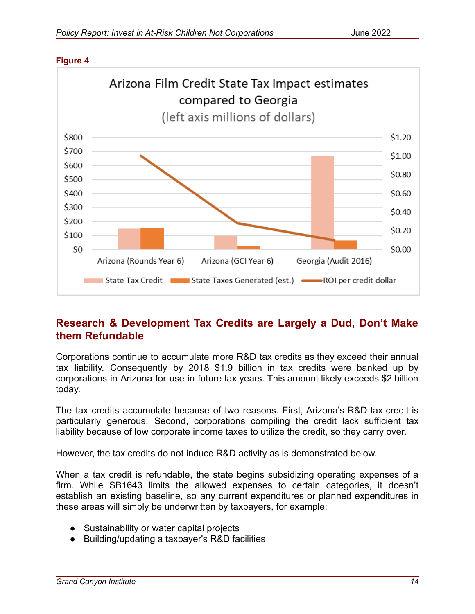

#### **Figure 4**

# **Research & Development Tax Credits are Largely a Dud, Don't Make them Refundable**

Corporations continue to accumulate more R&D tax credits as they exceed their annual tax liability. Consequently by 2018 \$1.9 billion in tax credits were banked up by corporations in Arizona for use in future tax years. This amount likely exceeds \$2 billion today.

The tax credits accumulate because of two reasons. First, Arizona's R&D tax credit is particularly generous. Second, corporations compiling the credit lack sufficient tax liability because of low corporate income taxes to utilize the credit, so they carry over.

However, the tax credits do not induce R&D activity as is demonstrated below.

When a tax credit is refundable, the state begins subsidizing operating expenses of a firm. While SB1643 limits the allowed expenses to certain categories, it doesn't establish an existing baseline, so any current expenditures or planned expenditures in these areas will simply be underwritten by taxpayers, for example:

- Sustainability or water capital projects
- Building/updating a taxpayer's R&D facilities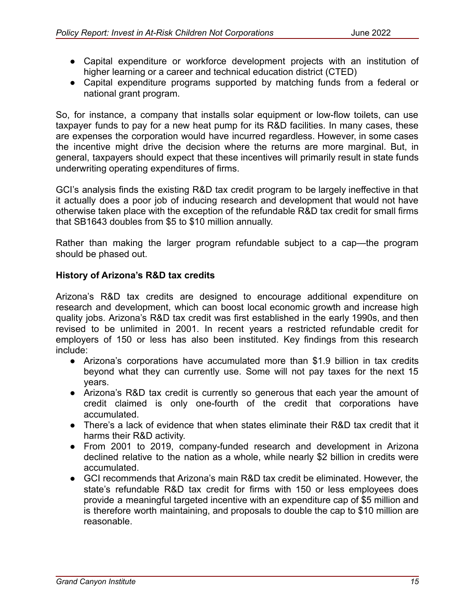- Capital expenditure or workforce development projects with an institution of higher learning or a career and technical education district (CTED)
- Capital expenditure programs supported by matching funds from a federal or national grant program.

So, for instance, a company that installs solar equipment or low-flow toilets, can use taxpayer funds to pay for a new heat pump for its R&D facilities. In many cases, these are expenses the corporation would have incurred regardless. However, in some cases the incentive might drive the decision where the returns are more marginal. But, in general, taxpayers should expect that these incentives will primarily result in state funds underwriting operating expenditures of firms.

GCI's analysis finds the existing R&D tax credit program to be largely ineffective in that it actually does a poor job of inducing research and development that would not have otherwise taken place with the exception of the refundable R&D tax credit for small firms that SB1643 doubles from \$5 to \$10 million annually.

Rather than making the larger program refundable subject to a cap—the program should be phased out.

## **History of Arizona's R&D tax credits**

Arizona's R&D tax credits are designed to encourage additional expenditure on research and development, which can boost local economic growth and increase high quality jobs. Arizona's R&D tax credit was first established in the early 1990s, and then revised to be unlimited in 2001. In recent years a restricted refundable credit for employers of 150 or less has also been instituted. Key findings from this research include:

- Arizona's corporations have accumulated more than \$1.9 billion in tax credits beyond what they can currently use. Some will not pay taxes for the next 15 years.
- Arizona's R&D tax credit is currently so generous that each year the amount of credit claimed is only one-fourth of the credit that corporations have accumulated.
- There's a lack of evidence that when states eliminate their R&D tax credit that it harms their R&D activity.
- From 2001 to 2019, company-funded research and development in Arizona declined relative to the nation as a whole, while nearly \$2 billion in credits were accumulated.
- GCI recommends that Arizona's main R&D tax credit be eliminated. However, the state's refundable R&D tax credit for firms with 150 or less employees does provide a meaningful targeted incentive with an expenditure cap of \$5 million and is therefore worth maintaining, and proposals to double the cap to \$10 million are reasonable.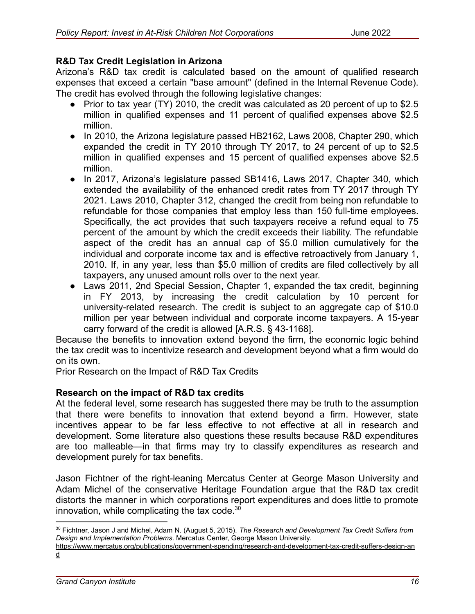### **R&D Tax Credit Legislation in Arizona**

Arizona's R&D tax credit is calculated based on the amount of qualified research expenses that exceed a certain "base amount" (defined in the Internal Revenue Code). The credit has evolved through the following legislative changes:

- Prior to tax year (TY) 2010, the credit was calculated as 20 percent of up to \$2.5 million in qualified expenses and 11 percent of qualified expenses above \$2.5 million.
- In 2010, the Arizona legislature passed HB2162, Laws 2008, Chapter 290, which expanded the credit in TY 2010 through TY 2017, to 24 percent of up to \$2.5 million in qualified expenses and 15 percent of qualified expenses above \$2.5 million.
- In 2017, Arizona's legislature passed SB1416, Laws 2017, Chapter 340, which extended the availability of the enhanced credit rates from TY 2017 through TY 2021. Laws 2010, Chapter 312, changed the credit from being non refundable to refundable for those companies that employ less than 150 full-time employees. Specifically, the act provides that such taxpayers receive a refund equal to 75 percent of the amount by which the credit exceeds their liability. The refundable aspect of the credit has an annual cap of \$5.0 million cumulatively for the individual and corporate income tax and is effective retroactively from January 1, 2010. If, in any year, less than \$5.0 million of credits are filed collectively by all taxpayers, any unused amount rolls over to the next year.
- Laws 2011, 2nd Special Session, Chapter 1, expanded the tax credit, beginning in FY 2013, by increasing the credit calculation by 10 percent for university-related research. The credit is subject to an aggregate cap of \$10.0 million per year between individual and corporate income taxpayers. A 15-year carry forward of the credit is allowed [A.R.S. § 43-1168].

Because the benefits to innovation extend beyond the firm, the economic logic behind the tax credit was to incentivize research and development beyond what a firm would do on its own.

Prior Research on the Impact of R&D Tax Credits

### **Research on the impact of R&D tax credits**

At the federal level, some research has suggested there may be truth to the assumption that there were benefits to innovation that extend beyond a firm. However, state incentives appear to be far less effective to not effective at all in research and development. Some literature also questions these results because R&D expenditures are too malleable—in that firms may try to classify expenditures as research and development purely for tax benefits.

Jason Fichtner of the right-leaning Mercatus Center at George Mason University and Adam Michel of the conservative Heritage Foundation argue that the R&D tax credit distorts the manner in which corporations report expenditures and does little to promote innovation, while complicating the tax code. $30$ 

<sup>30</sup> Fichtner, Jason J and Michel, Adam N. (August 5, 2015). *The Research and Development Tax Credit Suffers from Design and Implementation Problems*. Mercatus Center, George Mason University.

https://www.mercatus.org/publications/government-spending/research-and-development-tax-credit-suffers-design-an d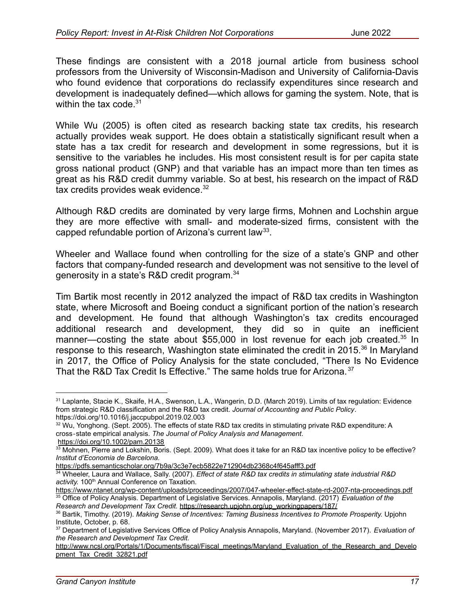These findings are consistent with a 2018 journal article from business school professors from the University of Wisconsin-Madison and University of California-Davis who found evidence that corporations do reclassify expenditures since research and development is inadequately defined—which allows for gaming the system. Note, that is within the tax code. $31$ 

While Wu (2005) is often cited as research backing state tax credits, his research actually provides weak support. He does obtain a statistically significant result when a state has a tax credit for research and development in some regressions, but it is sensitive to the variables he includes. His most consistent result is for per capita state gross national product (GNP) and that variable has an impact more than ten times as great as his R&D credit dummy variable. So at best, his research on the impact of R&D tax credits provides weak evidence. $32$ 

Although R&D credits are dominated by very large firms, Mohnen and Lochshin argue they are more effective with small- and moderate-sized firms, consistent with the capped refundable portion of Arizona's current law<sup>33</sup>.

Wheeler and Wallace found when controlling for the size of a state's GNP and other factors that company-funded research and development was not sensitive to the level of generosity in a state's R&D credit program.<sup>34</sup>

Tim Bartik most recently in 2012 analyzed the impact of R&D tax credits in Washington state, where Microsoft and Boeing conduct a significant portion of the nation's research and development. He found that although Washington's tax credits encouraged additional research and development, they did so in quite an inefficient manner—costing the state about \$55,000 in lost revenue for each job created.<sup>35</sup> In response to this research, Washington state eliminated the credit in 2015.<sup>36</sup> In Maryland in 2017, the Office of Policy Analysis for the state concluded, "There Is No Evidence That the R&D Tax Credit Is Effective." The same holds true for Arizona.<sup>37</sup>

<sup>31</sup> Laplante, Stacie K., Skaife, H.A., Swenson, L.A., Wangerin, D.D. (March 2019). Limits of tax regulation: Evidence from strategic R&D classification and the R&D tax credit. *Journal of Accounting and Public Policy*. https://doi.org/10.1016/j.jaccpubpol.2019.02.003

<sup>&</sup>lt;sup>32</sup> Wu, Yonghong. (Sept. 2005). The effects of state R&D tax credits in stimulating private R&D expenditure: A cross‐state empirical analysis. *The Journal of Policy Analysis and Management*.

https://doi.org/10.1002/pam.20138

<sup>&</sup>lt;sup>33</sup> Mohnen, Pierre and Lokshin, Boris. (Sept. 2009). What does it take for an R&D tax incentive policy to be effective? *Institut d'Economia de Barcelona.*

https://pdfs.semanticscholar.org/7b9a/3c3e7ecb5822e712904db2368c4f645afff3.pdf

<sup>34</sup> Wheeler, Laura and Wallace, Sally. (2007). *Effect of state R&D tax credits in stimulating state industrial R&D* activity. 100<sup>th</sup> Annual Conference on Taxation.

<sup>35</sup> Office of Policy Analysis. Department of Legislative Services. Annapolis, Maryland. (2017) *Evaluation of the* https://www.ntanet.org/wp-content/uploads/proceedings/2007/047-wheeler-effect-state-rd-2007-nta-proceedings.pdf

<sup>36</sup> Bartik, Timothy. (2019). *Making Sense of Incentives: Taming Business Incentives to Promote Prosperity.* Upjohn Institute, October, p. 68. *Research and Development Tax Credit.* https://research.upjohn.org/up\_workingpapers/187/

<sup>37</sup> Department of Legislative Services Office of Policy Analysis Annapolis, Maryland. (November 2017). *Evaluation of the Research and Development Tax Credit.*

http://www.ncsl.org/Portals/1/Documents/fiscal/Fiscal\_meetings/Maryland\_Evaluation\_of\_the\_Research\_and\_Develo pment\_Tax\_Credit\_32821.pdf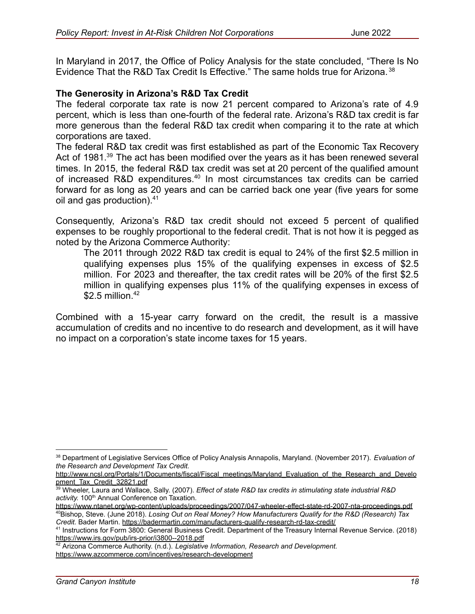In Maryland in 2017, the Office of Policy Analysis for the state concluded, "There Is No Evidence That the R&D Tax Credit Is Effective." The same holds true for Arizona. <sup>38</sup>

### **The Generosity in Arizona's R&D Tax Credit**

The federal corporate tax rate is now 21 percent compared to Arizona's rate of 4.9 percent, which is less than one-fourth of the federal rate. Arizona's R&D tax credit is far more generous than the federal R&D tax credit when comparing it to the rate at which corporations are taxed.

The federal R&D tax credit was first established as part of the Economic Tax Recovery Act of 1981.<sup>39</sup> The act has been modified over the years as it has been renewed several times. In 2015, the federal R&D tax credit was set at 20 percent of the qualified amount of increased R&D expenditures.<sup>40</sup> In most circumstances tax credits can be carried forward for as long as 20 years and can be carried back one year (five years for some oil and gas production).<sup>41</sup>

Consequently, Arizona's R&D tax credit should not exceed 5 percent of qualified expenses to be roughly proportional to the federal credit. That is not how it is pegged as noted by the Arizona Commerce Authority:

The 2011 through 2022 R&D tax credit is equal to 24% of the first \$2.5 million in qualifying expenses plus 15% of the qualifying expenses in excess of \$2.5 million. For 2023 and thereafter, the tax credit rates will be 20% of the first \$2.5 million in qualifying expenses plus 11% of the qualifying expenses in excess of  $$2.5$  million.<sup>42</sup>

Combined with a 15-year carry forward on the credit, the result is a massive accumulation of credits and no incentive to do research and development, as it will have no impact on a corporation's state income taxes for 15 years.

http://www.ncsl.org/Portals/1/Documents/fiscal/Fiscal\_meetings/Maryland\_Evaluation\_of\_the\_Research\_and\_Develo pment\_Tax\_Credit\_32821.pdf

<sup>38</sup> Department of Legislative Services Office of Policy Analysis Annapolis, Maryland. (November 2017). *Evaluation of the Research and Development Tax Credit.*

<sup>39</sup> Wheeler, Laura and Wallace, Sally. (2007). *Effect of state R&D tax credits in stimulating state industrial R&D* activity. 100<sup>th</sup> Annual Conference on Taxation.

<sup>40</sup>Bishop, Steve. (June 2018). *Losing Out on Real Money? How Manufacturers Qualify for the R&D (Research) Tax Credit.* Bader Martin. https://badermartin.com/manufacturers-qualify-research-rd-tax-credit/ https://www.ntanet.org/wp-content/uploads/proceedings/2007/047-wheeler-effect-state-rd-2007-nta-proceedings.pdf

<sup>41</sup> Instructions for Form 3800: General Business Credit. Department of the Treasury Internal Revenue Service. (2018) https://www.irs.gov/pub/irs-prior/i3800--2018.pdf

<sup>42</sup> Arizona Commerce Authority. (n.d.). *Legislative Information, Research and Development.* https://www.azcommerce.com/incentives/research-development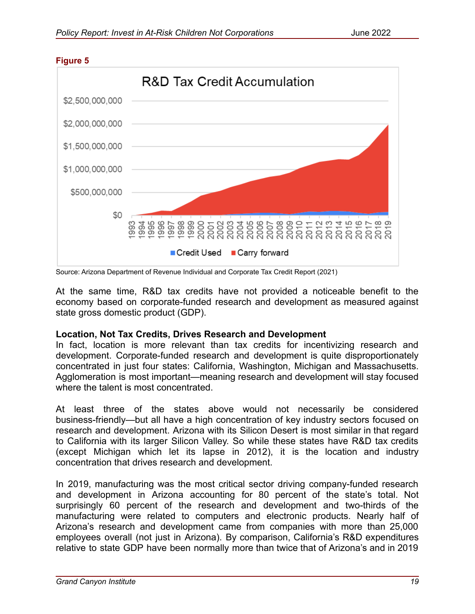

#### **Figure 5**

Source: Arizona Department of Revenue Individual and Corporate Tax Credit Report (2021)

At the same time, R&D tax credits have not provided a noticeable benefit to the economy based on corporate-funded research and development as measured against state gross domestic product (GDP).

#### **Location, Not Tax Credits, Drives Research and Development**

In fact, location is more relevant than tax credits for incentivizing research and development. Corporate-funded research and development is quite disproportionately concentrated in just four states: California, Washington, Michigan and Massachusetts. Agglomeration is most important—meaning research and development will stay focused where the talent is most concentrated.

At least three of the states above would not necessarily be considered business-friendly—but all have a high concentration of key industry sectors focused on research and development. Arizona with its Silicon Desert is most similar in that regard to California with its larger Silicon Valley. So while these states have R&D tax credits (except Michigan which let its lapse in 2012), it is the location and industry concentration that drives research and development.

In 2019, manufacturing was the most critical sector driving company-funded research and development in Arizona accounting for 80 percent of the state's total. Not surprisingly 60 percent of the research and development and two-thirds of the manufacturing were related to computers and electronic products. Nearly half of Arizona's research and development came from companies with more than 25,000 employees overall (not just in Arizona). By comparison, California's R&D expenditures relative to state GDP have been normally more than twice that of Arizona's and in 2019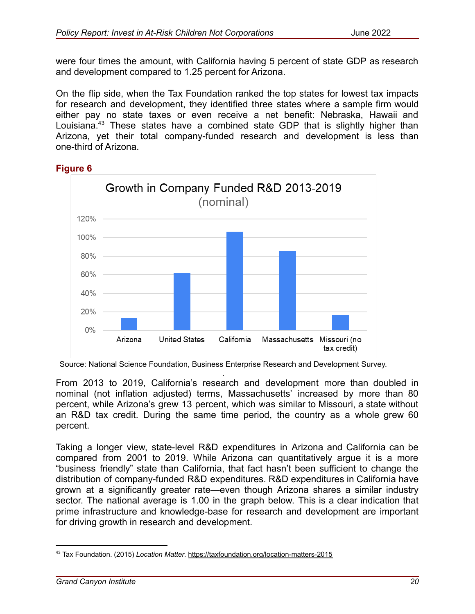were four times the amount, with California having 5 percent of state GDP as research and development compared to 1.25 percent for Arizona.

On the flip side, when the Tax Foundation ranked the top states for lowest tax impacts for research and development, they identified three states where a sample firm would either pay no state taxes or even receive a net benefit: Nebraska, Hawaii and Louisiana.<sup>43</sup> These states have a combined state GDP that is slightly higher than Arizona, yet their total company-funded research and development is less than one-third of Arizona.



#### **Figure 6**

. From 2013 to 2019, California's research and development more than doubled in nominal (not inflation adjusted) terms, Massachusetts' increased by more than 80 percent, while Arizona's grew 13 percent, which was similar to Missouri, a state without an R&D tax credit. During the same time period, the country as a whole grew 60 percent.

Taking a longer view, state-level R&D expenditures in Arizona and California can be compared from 2001 to 2019. While Arizona can quantitatively argue it is a more "business friendly" state than California, that fact hasn't been sufficient to change the distribution of company-funded R&D expenditures. R&D expenditures in California have grown at a significantly greater rate—even though Arizona shares a similar industry sector. The national average is 1.00 in the graph below. This is a clear indication that prime infrastructure and knowledge-base for research and development are important for driving growth in research and development.

Source: National Science Foundation, Business Enterprise Research and Development Survey.

<sup>43</sup> Tax Foundation. (2015) *Location Matter*. https://taxfoundation.org/location-matters-2015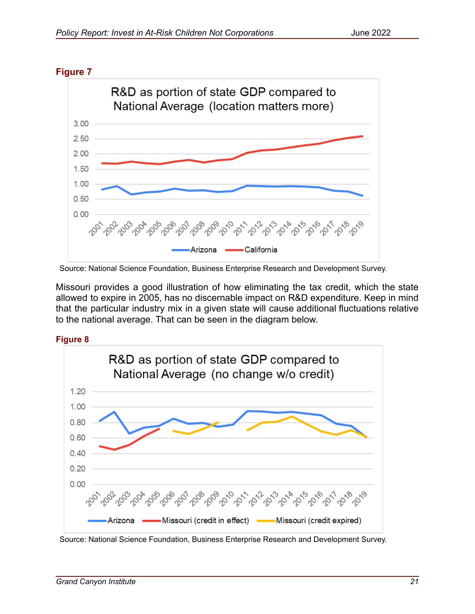



Source: National Science Foundation, Business Enterprise Research and Development Survey.

Missouri provides a good illustration of how eliminating the tax credit, which the state allowed to expire in 2005, has no discernable impact on R&D expenditure. Keep in mind that the particular industry mix in a given state will cause additional fluctuations relative to the national average. That can be seen in the diagram below.

**Figure 8**



Source: National Science Foundation, Business Enterprise Research and Development Survey.